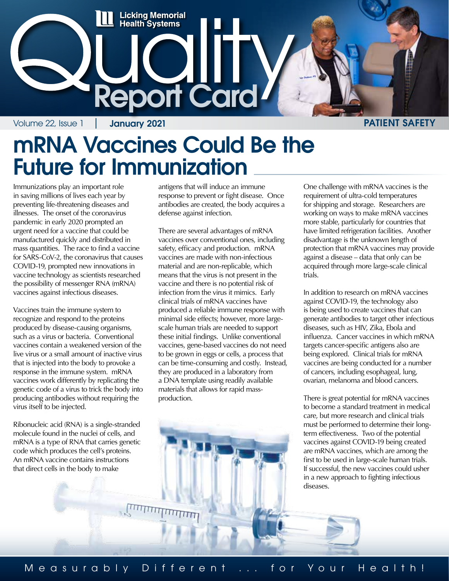

#### mRNA Vaccines Could Be the Future for Immunization

Immunizations play an important role in saving millions of lives each year by preventing life-threatening diseases and illnesses. The onset of the coronavirus pandemic in early 2020 prompted an urgent need for a vaccine that could be manufactured quickly and distributed in mass quantities. The race to find a vaccine for SARS-CoV-2, the coronavirus that causes COVID-19, prompted new innovations in vaccine technology as scientists researched the possibility of messenger RNA (mRNA) vaccines against infectious diseases.

Vaccines train the immune system to recognize and respond to the proteins produced by disease-causing organisms, such as a virus or bacteria. Conventional vaccines contain a weakened version of the live virus or a small amount of inactive virus that is injected into the body to provoke a response in the immune system. mRNA vaccines work differently by replicating the genetic code of a virus to trick the body into producing antibodies without requiring the virus itself to be injected.

Ribonucleic acid (RNA) is a single-stranded molecule found in the nuclei of cells, and mRNA is a type of RNA that carries genetic code which produces the cell's proteins. An mRNA vaccine contains instructions that direct cells in the body to make

antigens that will induce an immune response to prevent or fight disease. Once antibodies are created, the body acquires a defense against infection.

There are several advantages of mRNA vaccines over conventional ones, including safety, efficacy and production. mRNA vaccines are made with non-infectious material and are non-replicable, which means that the virus is not present in the vaccine and there is no potential risk of infection from the virus it mimics. Early clinical trials of mRNA vaccines have produced a reliable immune response with minimal side effects; however, more largescale human trials are needed to support these initial findings. Unlike conventional vaccines, gene-based vaccines do not need to be grown in eggs or cells, a process that can be time-consuming and costly. Instead, they are produced in a laboratory from a DNA template using readily available materials that allows for rapid massproduction.

One challenge with mRNA vaccines is the requirement of ultra-cold temperatures for shipping and storage. Researchers are working on ways to make mRNA vaccines more stable, particularly for countries that have limited refrigeration facilities. Another disadvantage is the unknown length of protection that mRNA vaccines may provide against a disease – data that only can be acquired through more large-scale clinical trials.

In addition to research on mRNA vaccines against COVID-19, the technology also is being used to create vaccines that can generate antibodies to target other infectious diseases, such as HIV, Zika, Ebola and influenza. Cancer vaccines in which mRNA targets cancer-specific antigens also are being explored. Clinical trials for mRNA vaccines are being conducted for a number of cancers, including esophageal, lung, ovarian, melanoma and blood cancers.

There is great potential for mRNA vaccines to become a standard treatment in medical care, but more research and clinical trials must be performed to determine their longterm effectiveness. Two of the potential vaccines against COVID-19 being created are mRNA vaccines, which are among the first to be used in large-scale human trials. If successful, the new vaccines could usher in a new approach to fighting infectious diseases.

<u>шиштингі</u>

Measurably Different ... for Your Health!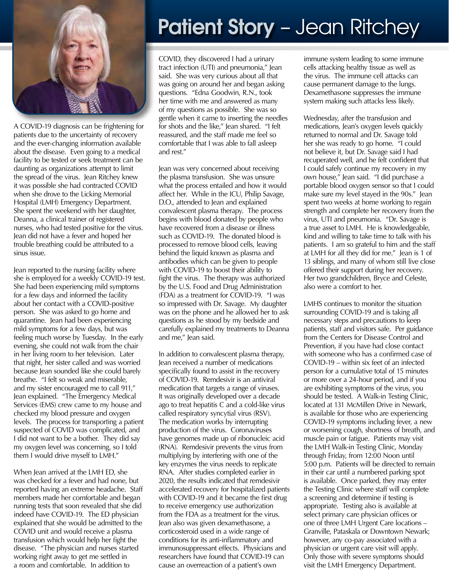

A COVID-19 diagnosis can be frightening for patients due to the uncertainty of recovery and the ever-changing information available about the disease. Even going to a medical facility to be tested or seek treatment can be daunting as organizations attempt to limit the spread of the virus. Jean Ritchey knew it was possible she had contracted COVID when she drove to the Licking Memorial Hospital (LMH) Emergency Department. She spent the weekend with her daughter, Deanna, a clinical trainer of registered nurses, who had tested positive for the virus. Jean did not have a fever and hoped her trouble breathing could be attributed to a sinus issue.

Jean reported to the nursing facility where she is employed for a weekly COVID-19 test. She had been experiencing mild symptoms for a few days and informed the facility about her contact with a COVID-positive person. She was asked to go home and quarantine. Jean had been experiencing mild symptoms for a few days, but was feeling much worse by Tuesday. In the early evening, she could not walk from the chair in her living room to her television. Later that night, her sister called and was worried because Jean sounded like she could barely breathe. "I felt so weak and miserable, and my sister encouraged me to call 911," Jean explained. "The Emergency Medical Services (EMS) crew came to my house and checked my blood pressure and oxygen levels. The process for transporting a patient suspected of COVID was complicated, and I did not want to be a bother. They did say my oxygen level was concerning, so I told them I would drive myself to LMH."

When Jean arrived at the LMH ED, she was checked for a fever and had none, but reported having an extreme headache. Staff members made her comfortable and began running tests that soon revealed that she did indeed have COVID-19. The ED physician explained that she would be admitted to the COVID unit and would receive a plasma transfusion which would help her fight the disease. "The physician and nurses started working right away to get me settled in a room and comfortable. In addition to

# Patient Story - Jean Ritchey

COVID, they discovered I had a urinary tract infection (UTI) and pneumonia," Jean said. She was very curious about all that was going on around her and began asking questions. "Edna Goodwin, R.N., took her time with me and answered as many of my questions as possible. She was so gentle when it came to inserting the needles for shots and the like," Jean shared. "I felt reassured, and the staff made me feel so comfortable that I was able to fall asleep and rest"

Jean was very concerned about receiving the plasma transfusion. She was unsure what the process entailed and how it would affect her. While in the ICU, Philip Savage, D.O., attended to Jean and explained convalescent plasma therapy. The process begins with blood donated by people who have recovered from a disease or illness such as COVID-19. The donated blood is processed to remove blood cells, leaving behind the liquid known as plasma and antibodies which can be given to people with COVID-19 to boost their ability to fight the virus. The therapy was authorized by the U.S. Food and Drug Administration (FDA) as a treatment for COVID-19. "I was so impressed with Dr. Savage. My daughter was on the phone and he allowed her to ask questions as he stood by my bedside and carefully explained my treatments to Deanna and me," Jean said.

In addition to convalescent plasma therapy, Jean received a number of medications specifically found to assist in the recovery of COVID-19. Remdesivir is an antiviral medication that targets a range of viruses. It was originally developed over a decade ago to treat hepatitis C and a cold-like virus called respiratory syncytial virus (RSV). The medication works by interrupting production of the virus. Coronaviruses have genomes made up of ribonucleic acid (RNA). Remdesivir prevents the virus from multiplying by interfering with one of the key enzymes the virus needs to replicate RNA. After studies completed earlier in 2020, the results indicated that remdesivir accelerated recovery for hospitalized patients with COVID-19 and it became the first drug to receive emergency use authorization from the FDA as a treatment for the virus. Jean also was given dexamethasone, a corticosteroid used in a wide range of conditions for its anti-inflammatory and immunosuppressant effects. Physicians and researchers have found that COVID-19 can cause an overreaction of a patient's own

immune system leading to some immune cells attacking healthy tissue as well as the virus. The immune cell attacks can cause permanent damage to the lungs. Dexamethasone suppresses the immune system making such attacks less likely.

Wednesday, after the transfusion and medications, Jean's oxygen levels quickly returned to normal and Dr. Savage told her she was ready to go home. "I could not believe it, but Dr. Savage said I had recuperated well, and he felt confident that I could safely continue my recovery in my own house," Jean said. "I did purchase a portable blood oxygen sensor so that I could make sure my level stayed in the 90s." Jean spent two weeks at home working to regain strength and complete her recovery from the virus, UTI and pneumonia. "Dr. Savage is a true asset to LMH. He is knowledgeable, kind and willing to take time to talk with his patients. I am so grateful to him and the staff at LMH for all they did for me." Jean is 1 of 13 siblings, and many of whom still live close offered their support during her recovery. Her two grandchildren, Bryce and Celeste, also were a comfort to her.

LMHS continues to monitor the situation surrounding COVID-19 and is taking all necessary steps and precautions to keep patients, staff and visitors safe. Per guidance from the Centers for Disease Control and Prevention, if you have had close contact with someone who has a confirmed case of COVID-19 – within six feet of an infected person for a cumulative total of 15 minutes or more over a 24-hour period, and if you are exhibiting symptoms of the virus, you should be tested. A Walk-in Testing Clinic, located at 131 McMillen Drive in Newark, is available for those who are experiencing COVID-19 symptoms including fever, a new or worsening cough, shortness of breath, and muscle pain or fatigue. Patients may visit the LMH Walk-in Testing Clinic, Monday through Friday, from 12:00 Noon until 5:00 p.m. Patients will be directed to remain in their car until a numbered parking spot is available. Once parked, they may enter the Testing Clinic where staff will complete a screening and determine if testing is appropriate. Testing also is available at select primary care physician offices or one of three LMH Urgent Care locations – Granville, Pataskala or Downtown Newark; however, any co-pay associated with a physician or urgent care visit will apply. Only those with severe symptoms should visit the LMH Emergency Department.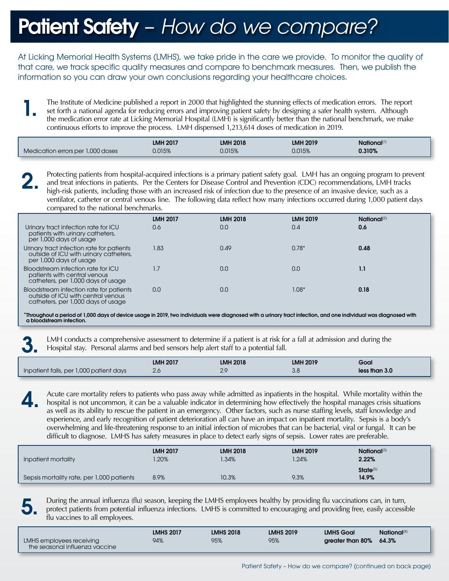## Patient Safety – *How do we compare?*

At Licking Memorial Health Systems (LMHS), we take pride in the care we provide. To monitor the quality of that care, we track specific quality measures and compare to benchmark measures. Then, we publish the information so you can draw your own conclusions regarding your healthcare choices.

The Institute of Medicine published a report in 2000 that highlighted the stunning effects of medication errors. The report set forth a national agenda for reducing errors and improving patient safety by designing a safer health system. Although the medication error rate at Licking Memorial Hospital (LMH) is significantly better than the national benchmark, we make continuous efforts to improve the process. LMH dispensed 1,213,614 doses of medication in 2019. 1.

|                                   | <b>LMH 2017</b> | <b>LMH 2018</b> | <b>LMH 2019</b> | National <sup>(1)</sup> |  |
|-----------------------------------|-----------------|-----------------|-----------------|-------------------------|--|
| Medication errors per 1,000 doses | 0.015%          | 0.015%          | 0.015%          | 0.310%                  |  |

Protecting patients from hospital-acquired infections is a primary patient safety goal. LMH has an ongoing program to prevent and treat infections in patients. Per the Centers for Disease Control and Prevention (CDC) recom and treat infections in patients. Per the Centers for Disease Control and Prevention (CDC) recommendations, LMH tracks high-risk patients, including those with an increased risk of infection due to the presence of an invasive device, such as a ventilator, catheter or central venous line. The following data reflect how many infections occurred during 1,000 patient days compared to the national benchmarks.

|                                                                                                                     | <b>LMH 2017</b> | <b>LMH 2018</b> | <b>LMH 2019</b> | National <sup>(2)</sup> |
|---------------------------------------------------------------------------------------------------------------------|-----------------|-----------------|-----------------|-------------------------|
| Urinary tract infection rate for ICU<br>patients with urinary catheters,<br>per 1,000 days of usage                 | 0.6             | 0.0             | 0.4             | 0.6                     |
| Urinary tract infection rate for patients<br>outside of ICU with urinary catheters,<br>per 1,000 days of usage      | 1.83            | 0.49            | $0.78*$         | 0.48                    |
| Bloodstream infection rate for ICU<br>patients with central venous<br>catheters, per 1,000 days of usage            | 1.7             | 0.0             | 0.0             | 1.1                     |
| Bloodstream infection rate for patients<br>outside of ICU with central venous<br>catheters, per 1,000 days of usage | 0.0             | 0.0             | $1.08^*$        | 0.18                    |

\*Throughout a period of 1,000 days of device usage in 2019, two individuals were diagnosed with a urinary tract infection, and one individual was diagnosed with a bloodstream infection.

LMH conducts a comprehensive assessment to determine if a patient is at risk for a fall at admission and during the Hospital stay. Personal alarms and bed sensors help alert staff to a potential fall.

|                                         | <b>LMH 2017</b> | <b>LMH 2018</b>  | <b>LMH 2019</b> | Goal          |
|-----------------------------------------|-----------------|------------------|-----------------|---------------|
| Inpatient falls, per 1,000 patient days | $\Omega$<br>Z.U | $\cap$<br>$\sim$ | ა.c             | less than 3.0 |

Acute care mortality refers to patients who pass away while admitted as inpatients in the hospital. While mortality within the hospital is not uncommon, it can be a valuable indicator in determining how effectively the hospital manages crisis situations as well as its ability to rescue the patient in an emergency. Other factors, such as nurse staffing levels, staff knowledge and experience, and early recognition of patient deterioration all can have an impact on inpatient mortality. Sepsis is a body's overwhelming and life-threatening response to an initial infection of microbes that can be bacterial, viral or fungal. It can be difficult to diagnose. LMHS has safety measures in place to detect early signs of sepsis. Lower rates are preferable.

| Inpatient mortality                       | <b>LMH 2017</b> | <b>LMH 2018</b> | <b>LMH 2019</b> | <b>National</b> <sup>(3)</sup> |
|-------------------------------------------|-----------------|-----------------|-----------------|--------------------------------|
|                                           | .20%            | .34%            | .24%            | 2.22%                          |
| Sepsis mortality rate, per 1,000 patients | 8.9%            | 10.3%           | 9.3%            | State <sup>(5)</sup><br>14.9%  |

During the annual influenza (flu) season, keeping the LMHS employees healthy by providing flu vaccinations can, in turn,<br>protect patients from potential influenza infections. LMHS is committed to encouraging and providing flu vaccines to all employees.

|                                                            | <b>LMHS 2017</b> | <b>LMHS 2018</b> | <b>LMHS 2019</b> | <b>LMHS Goal</b>       | National <sup>(4)</sup> |
|------------------------------------------------------------|------------------|------------------|------------------|------------------------|-------------------------|
| LMHS employees receiving<br>the seasonal influenza vaccine | 94%              | 95%              | 95%              | areater than 80% 64.3% |                         |